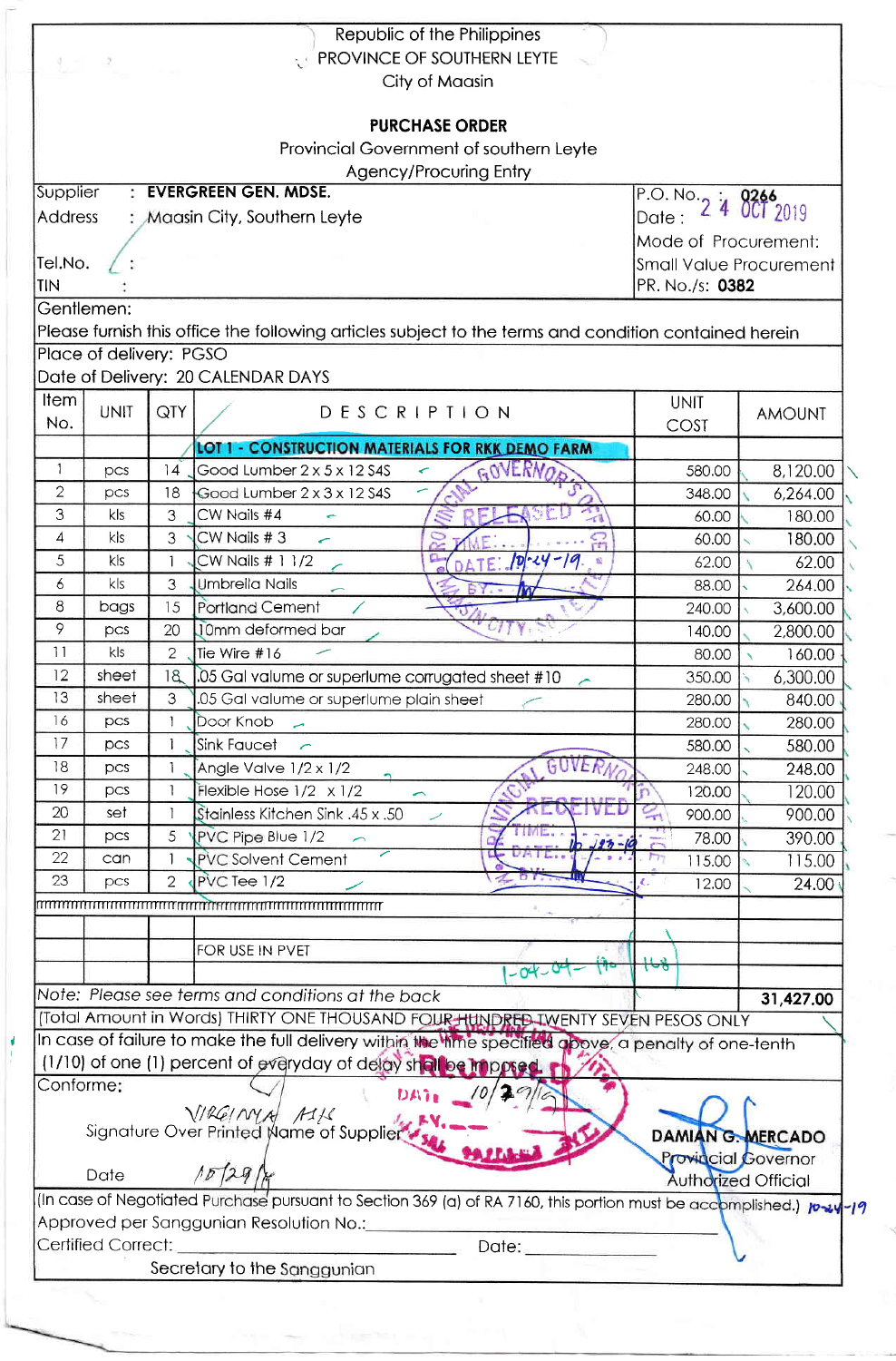|                |                               |                                | Republic of the Philippines<br><b>TEROVINCE OF SOUTHERN LEYTE</b><br>City of Maasin                                  |                      |                            |
|----------------|-------------------------------|--------------------------------|----------------------------------------------------------------------------------------------------------------------|----------------------|----------------------------|
|                |                               |                                | <b>PURCHASE ORDER</b>                                                                                                |                      |                            |
|                |                               |                                | Provincial Government of southern Leyte                                                                              |                      |                            |
|                |                               |                                | Agency/Procuring Entry                                                                                               |                      |                            |
| Supplier       |                               |                                | <b>EVERGREEN GEN. MDSE.</b>                                                                                          |                      |                            |
| <b>Address</b> | : Maasin City, Southern Leyte | P.O. No. 2 4 0266<br>Date:     |                                                                                                                      |                      |                            |
|                |                               |                                |                                                                                                                      | Mode of Procurement: |                            |
| Tel.No.        |                               | <b>Small Value Procurement</b> |                                                                                                                      |                      |                            |
| <b>TIN</b>     |                               | PR. No./s: 0382                |                                                                                                                      |                      |                            |
| Gentlemen:     |                               |                                |                                                                                                                      |                      |                            |
|                |                               |                                | Please furnish this office the following articles subject to the terms and condition contained herein                |                      |                            |
|                | Place of delivery: PGSO       |                                |                                                                                                                      |                      |                            |
|                |                               |                                | Date of Delivery: 20 CALENDAR DAYS                                                                                   |                      |                            |
| <b>Item</b>    |                               |                                |                                                                                                                      | <b>UNIT</b>          |                            |
| No.            | <b>UNIT</b>                   | QTY                            | DESCRIPTION                                                                                                          | COST                 | <b>AMOUNT</b>              |
|                |                               |                                | <b>LOT 1 CONSTRUCTION MATERIALS FOR RKK DEMO FARM</b>                                                                |                      |                            |
| 1              | pcs                           | 14                             | GOVERNOS<br>Good Lumber 2 x 5 x 12 S4S                                                                               | 580.00               | 8,120.00                   |
| $\mathbf{2}$   | pcs                           | 18                             | Good Lumber 2 x 3 x 12 S4S                                                                                           | 348.00               | 6,264.00                   |
| 3              | kls                           | 3                              | $\mathbb{Z}^2$<br>CW Nails #4                                                                                        | 60.00                | 180.00                     |
| 4              | kls                           | 3                              | CW Nails #3<br>윾<br>$\leftarrow$                                                                                     | 60.00                | 180.00                     |
| 5              | k/s                           |                                | CW Nails # 1 1/2<br>$TE$ $10 - 24 - 19$<br>般                                                                         | 62.00                | 62.00                      |
| 6              | k/s                           | 3                              | <b>Umbrella Nails</b>                                                                                                | 88.00                | 264.00                     |
| 8              | bags                          | 15                             | <b>Portland Cement</b>                                                                                               | 240.00               |                            |
| 9              | pcs                           | 20                             | <b>J0mm</b> deformed bar                                                                                             |                      | 3,600.00                   |
| 11             | kls                           |                                |                                                                                                                      | 140.00               | 2,800.00                   |
| 12             | sheet                         | $\overline{2}$<br>18           | Tie Wire #16                                                                                                         | 80.00                | 160.00                     |
| 13             | sheet                         |                                | 05 Gal valume or superlume corrugated sheet #10                                                                      | 350.00               | 6,300.00                   |
| 16             |                               | 3                              | .05 Gal valume or superlume plain sheet                                                                              | 280.00               | 840.00                     |
| 17             | pcs                           |                                | Door Knob<br>$\overline{\phantom{a}}$                                                                                | 280.00               | 280.00                     |
|                | pcs                           |                                | <b>Sink Faucet</b>                                                                                                   | 580.00               | 580.00                     |
| 18             | pcs                           |                                | GUVERN<br>Angle Valve 1/2 x 1/2                                                                                      | 248.00               | 248.00                     |
| 19             | pcs                           |                                | Flexible Hose $1/2 \times 1/2$                                                                                       | 120.00               | 120.00                     |
| 20             | set                           |                                | Stainless Kitchen Sink .45 x .50                                                                                     | 900.00               | 900.00                     |
| 21             | pcs                           | 5                              | PVC Pipe Blue 1/2<br>$197 - 10$                                                                                      | 78.00                | 390.00                     |
| 22             | can                           |                                | <b>PVC Solvent Cement</b>                                                                                            | 115.00               | 115.00                     |
| 23             | pcs                           | $\overline{2}$                 | PVC Tee 1/2                                                                                                          | 12.00                | 24.00                      |
|                |                               |                                |                                                                                                                      |                      |                            |
|                |                               |                                |                                                                                                                      |                      |                            |
|                |                               |                                | FOR USE IN PVET                                                                                                      |                      |                            |
|                |                               |                                | $-04 - 0$                                                                                                            |                      |                            |
|                |                               |                                | Note: Please see terms and conditions at the back                                                                    |                      | 31,427.00                  |
|                |                               |                                | (Total Amount in Words) THIRTY ONE THOUSAND FOUR HUNDRED IWENTY SEVEN PESOS ONLY                                     |                      |                            |
|                |                               |                                | In case of failure to make the full delivery within the lime specified above, a penalty of one-tenth                 |                      |                            |
|                |                               |                                | (1/10) of one (1) percent of everyday of delay shall be imposed.                                                     |                      |                            |
| Conforme:      |                               |                                | われる。                                                                                                                 |                      |                            |
|                |                               |                                | VIRGINYA MIL<br>Signature Over Printed Name of Supplier                                                              |                      |                            |
|                |                               |                                |                                                                                                                      | DAMIAN G. MERCADO    |                            |
|                | Date                          |                                | 1529h                                                                                                                | Authorized Official  | <b>Provincial Governor</b> |
|                |                               |                                | (In case of Negotiated Purchase pursuant to Section 369 (a) of RA 7160, this portion must be accomplished.) 10-24-19 |                      |                            |
|                |                               |                                | Approved per Sanggunian Resolution No.:                                                                              |                      |                            |
|                | Certified Correct:            |                                | Date: ___________                                                                                                    |                      |                            |
|                |                               |                                | Secretary to the Sanggunian                                                                                          |                      |                            |